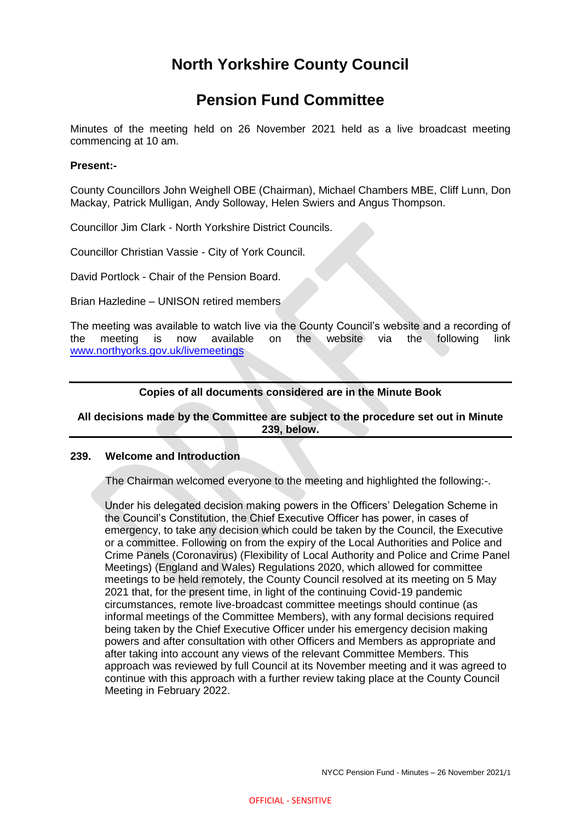# **North Yorkshire County Council**

## **Pension Fund Committee**

Minutes of the meeting held on 26 November 2021 held as a live broadcast meeting commencing at 10 am.

## **Present:-**

County Councillors John Weighell OBE (Chairman), Michael Chambers MBE, Cliff Lunn, Don Mackay, Patrick Mulligan, Andy Solloway, Helen Swiers and Angus Thompson.

Councillor Jim Clark - North Yorkshire District Councils.

Councillor Christian Vassie - City of York Council.

David Portlock - Chair of the Pension Board.

Brian Hazledine – UNISON retired members

The meeting was available to watch live via the County Council's website and a recording of the meeting is now available on the website via the following link [www.northyorks.gov.uk/livemeetings](http://www.northyorks.gov.uk/livemeetings)

## **Copies of all documents considered are in the Minute Book**

## **All decisions made by the Committee are subject to the procedure set out in Minute 239, below.**

#### **239. Welcome and Introduction**

The Chairman welcomed everyone to the meeting and highlighted the following:-.

Under his delegated decision making powers in the Officers' Delegation Scheme in the Council's Constitution, the Chief Executive Officer has power, in cases of emergency, to take any decision which could be taken by the Council, the Executive or a committee. Following on from the expiry of the Local Authorities and Police and Crime Panels (Coronavirus) (Flexibility of Local Authority and Police and Crime Panel Meetings) (England and Wales) Regulations 2020, which allowed for committee meetings to be held remotely, the County Council resolved at its meeting on 5 May 2021 that, for the present time, in light of the continuing Covid-19 pandemic circumstances, remote live-broadcast committee meetings should continue (as informal meetings of the Committee Members), with any formal decisions required being taken by the Chief Executive Officer under his emergency decision making powers and after consultation with other Officers and Members as appropriate and after taking into account any views of the relevant Committee Members. This approach was reviewed by full Council at its November meeting and it was agreed to continue with this approach with a further review taking place at the County Council Meeting in February 2022.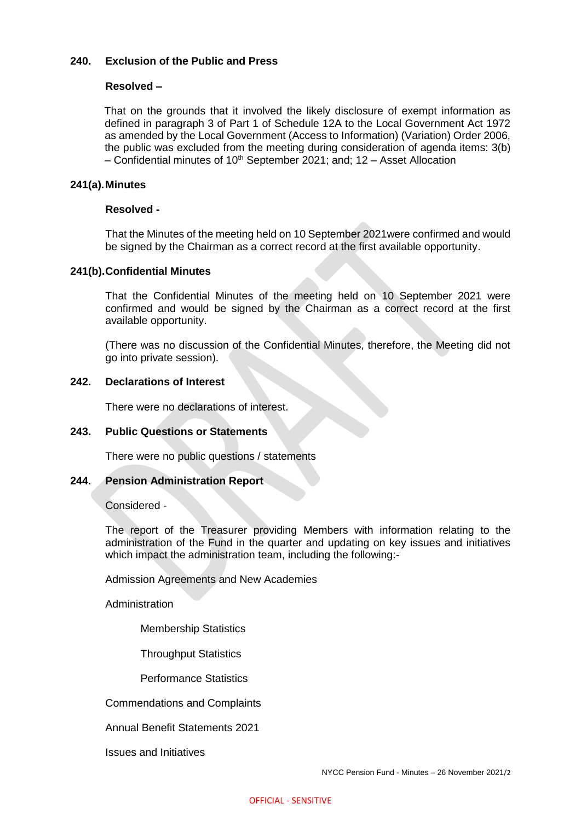## **240. Exclusion of the Public and Press**

#### **Resolved –**

That on the grounds that it involved the likely disclosure of exempt information as defined in paragraph 3 of Part 1 of Schedule 12A to the Local Government Act 1972 as amended by the Local Government (Access to Information) (Variation) Order 2006, the public was excluded from the meeting during consideration of agenda items: 3(b) – Confidential minutes of  $10^{th}$  September 2021; and: 12 – Asset Allocation

#### **241(a).Minutes**

#### **Resolved -**

That the Minutes of the meeting held on 10 September 2021were confirmed and would be signed by the Chairman as a correct record at the first available opportunity.

#### **241(b).Confidential Minutes**

That the Confidential Minutes of the meeting held on 10 September 2021 were confirmed and would be signed by the Chairman as a correct record at the first available opportunity.

(There was no discussion of the Confidential Minutes, therefore, the Meeting did not go into private session).

#### **242. Declarations of Interest**

There were no declarations of interest.

#### **243. Public Questions or Statements**

There were no public questions / statements

## **244. Pension Administration Report**

Considered -

The report of the Treasurer providing Members with information relating to the administration of the Fund in the quarter and updating on key issues and initiatives which impact the administration team, including the following:-

Admission Agreements and New Academies

Administration

Membership Statistics

Throughput Statistics

Performance Statistics

Commendations and Complaints

Annual Benefit Statements 2021

Issues and Initiatives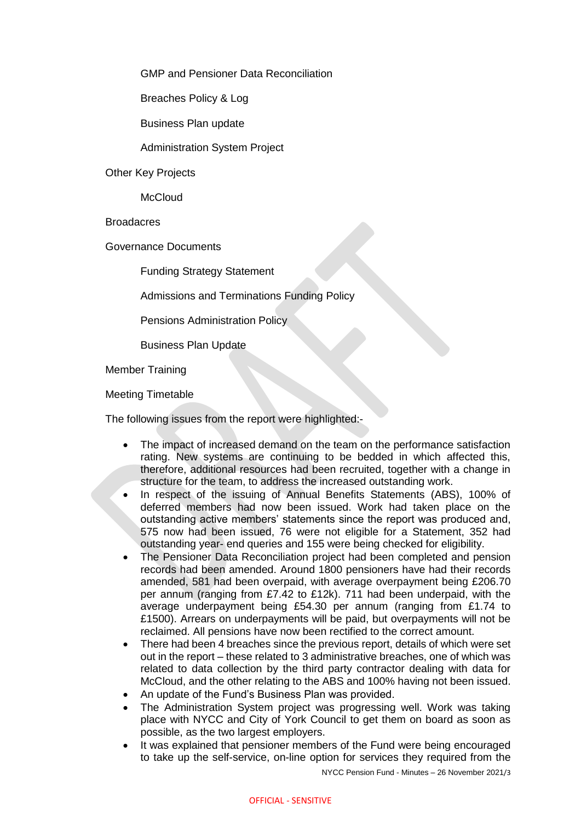GMP and Pensioner Data Reconciliation

Breaches Policy & Log

Business Plan update

Administration System Project

Other Key Projects

**McCloud** 

**Broadacres** 

Governance Documents

Funding Strategy Statement

Admissions and Terminations Funding Policy

Pensions Administration Policy

Business Plan Update

Member Training

Meeting Timetable

The following issues from the report were highlighted:-

- The impact of increased demand on the team on the performance satisfaction rating. New systems are continuing to be bedded in which affected this, therefore, additional resources had been recruited, together with a change in structure for the team, to address the increased outstanding work.
- In respect of the issuing of Annual Benefits Statements (ABS), 100% of deferred members had now been issued. Work had taken place on the outstanding active members' statements since the report was produced and, 575 now had been issued, 76 were not eligible for a Statement, 352 had outstanding year- end queries and 155 were being checked for eligibility.
- The Pensioner Data Reconciliation project had been completed and pension records had been amended. Around 1800 pensioners have had their records amended, 581 had been overpaid, with average overpayment being £206.70 per annum (ranging from £7.42 to £12k). 711 had been underpaid, with the average underpayment being £54.30 per annum (ranging from £1.74 to £1500). Arrears on underpayments will be paid, but overpayments will not be reclaimed. All pensions have now been rectified to the correct amount.
- There had been 4 breaches since the previous report, details of which were set out in the report – these related to 3 administrative breaches, one of which was related to data collection by the third party contractor dealing with data for McCloud, and the other relating to the ABS and 100% having not been issued.
- An update of the Fund's Business Plan was provided.
- The Administration System project was progressing well. Work was taking place with NYCC and City of York Council to get them on board as soon as possible, as the two largest employers.
- It was explained that pensioner members of the Fund were being encouraged to take up the self-service, on-line option for services they required from the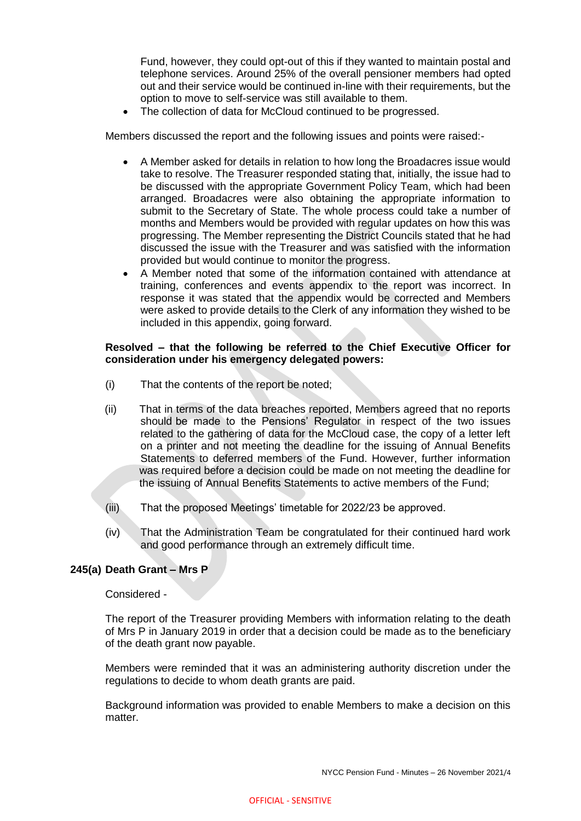Fund, however, they could opt-out of this if they wanted to maintain postal and telephone services. Around 25% of the overall pensioner members had opted out and their service would be continued in-line with their requirements, but the option to move to self-service was still available to them.

The collection of data for McCloud continued to be progressed.

Members discussed the report and the following issues and points were raised:-

- A Member asked for details in relation to how long the Broadacres issue would take to resolve. The Treasurer responded stating that, initially, the issue had to be discussed with the appropriate Government Policy Team, which had been arranged. Broadacres were also obtaining the appropriate information to submit to the Secretary of State. The whole process could take a number of months and Members would be provided with regular updates on how this was progressing. The Member representing the District Councils stated that he had discussed the issue with the Treasurer and was satisfied with the information provided but would continue to monitor the progress.
- A Member noted that some of the information contained with attendance at training, conferences and events appendix to the report was incorrect. In response it was stated that the appendix would be corrected and Members were asked to provide details to the Clerk of any information they wished to be included in this appendix, going forward.

#### **Resolved – that the following be referred to the Chief Executive Officer for consideration under his emergency delegated powers:**

- (i) That the contents of the report be noted;
- (ii) That in terms of the data breaches reported, Members agreed that no reports should be made to the Pensions' Regulator in respect of the two issues related to the gathering of data for the McCloud case, the copy of a letter left on a printer and not meeting the deadline for the issuing of Annual Benefits Statements to deferred members of the Fund. However, further information was required before a decision could be made on not meeting the deadline for the issuing of Annual Benefits Statements to active members of the Fund;
- (iii) That the proposed Meetings' timetable for 2022/23 be approved.
- (iv) That the Administration Team be congratulated for their continued hard work and good performance through an extremely difficult time.

## **245(a) Death Grant – Mrs P**

Considered -

The report of the Treasurer providing Members with information relating to the death of Mrs P in January 2019 in order that a decision could be made as to the beneficiary of the death grant now payable.

Members were reminded that it was an administering authority discretion under the regulations to decide to whom death grants are paid.

Background information was provided to enable Members to make a decision on this matter.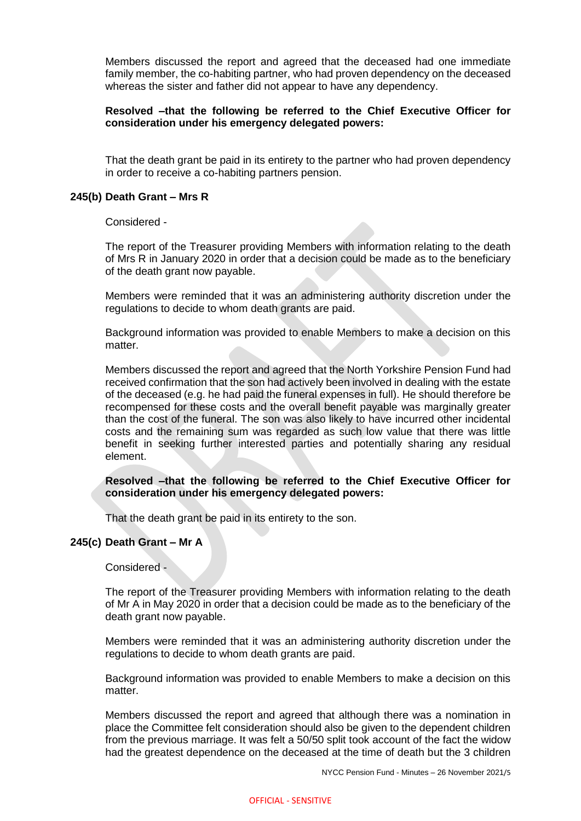Members discussed the report and agreed that the deceased had one immediate family member, the co-habiting partner, who had proven dependency on the deceased whereas the sister and father did not appear to have any dependency.

## **Resolved –that the following be referred to the Chief Executive Officer for consideration under his emergency delegated powers:**

That the death grant be paid in its entirety to the partner who had proven dependency in order to receive a co-habiting partners pension.

#### **245(b) Death Grant – Mrs R**

Considered -

The report of the Treasurer providing Members with information relating to the death of Mrs R in January 2020 in order that a decision could be made as to the beneficiary of the death grant now payable.

Members were reminded that it was an administering authority discretion under the regulations to decide to whom death grants are paid.

Background information was provided to enable Members to make a decision on this matter.

Members discussed the report and agreed that the North Yorkshire Pension Fund had received confirmation that the son had actively been involved in dealing with the estate of the deceased (e.g. he had paid the funeral expenses in full). He should therefore be recompensed for these costs and the overall benefit payable was marginally greater than the cost of the funeral. The son was also likely to have incurred other incidental costs and the remaining sum was regarded as such low value that there was little benefit in seeking further interested parties and potentially sharing any residual element.

#### **Resolved –that the following be referred to the Chief Executive Officer for consideration under his emergency delegated powers:**

That the death grant be paid in its entirety to the son.

## **245(c) Death Grant – Mr A**

Considered -

The report of the Treasurer providing Members with information relating to the death of Mr A in May 2020 in order that a decision could be made as to the beneficiary of the death grant now payable.

Members were reminded that it was an administering authority discretion under the regulations to decide to whom death grants are paid.

Background information was provided to enable Members to make a decision on this matter.

Members discussed the report and agreed that although there was a nomination in place the Committee felt consideration should also be given to the dependent children from the previous marriage. It was felt a 50/50 split took account of the fact the widow had the greatest dependence on the deceased at the time of death but the 3 children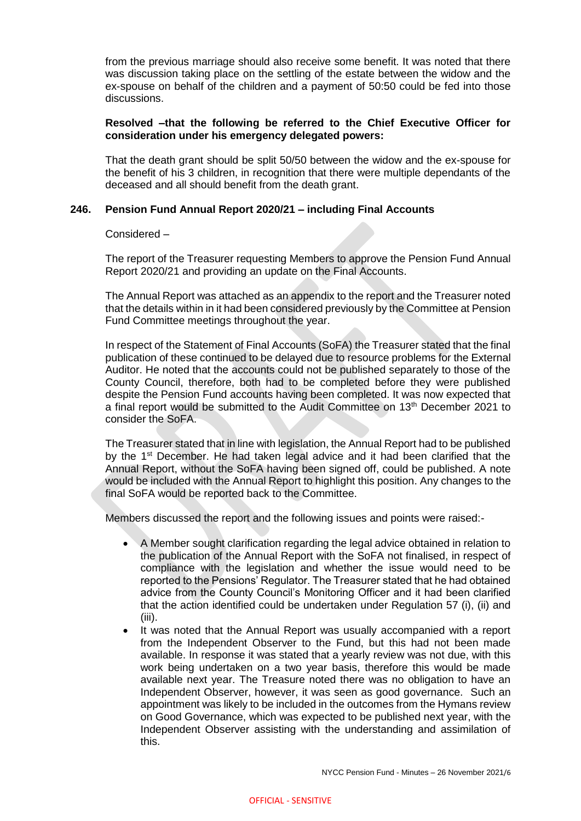from the previous marriage should also receive some benefit. It was noted that there was discussion taking place on the settling of the estate between the widow and the ex-spouse on behalf of the children and a payment of 50:50 could be fed into those discussions.

#### **Resolved –that the following be referred to the Chief Executive Officer for consideration under his emergency delegated powers:**

That the death grant should be split 50/50 between the widow and the ex-spouse for the benefit of his 3 children, in recognition that there were multiple dependants of the deceased and all should benefit from the death grant.

#### **246. Pension Fund Annual Report 2020/21 – including Final Accounts**

Considered –

The report of the Treasurer requesting Members to approve the Pension Fund Annual Report 2020/21 and providing an update on the Final Accounts.

The Annual Report was attached as an appendix to the report and the Treasurer noted that the details within in it had been considered previously by the Committee at Pension Fund Committee meetings throughout the year.

In respect of the Statement of Final Accounts (SoFA) the Treasurer stated that the final publication of these continued to be delayed due to resource problems for the External Auditor. He noted that the accounts could not be published separately to those of the County Council, therefore, both had to be completed before they were published despite the Pension Fund accounts having been completed. It was now expected that a final report would be submitted to the Audit Committee on 13<sup>th</sup> December 2021 to consider the SoFA.

The Treasurer stated that in line with legislation, the Annual Report had to be published by the 1<sup>st</sup> December. He had taken legal advice and it had been clarified that the Annual Report, without the SoFA having been signed off, could be published. A note would be included with the Annual Report to highlight this position. Any changes to the final SoFA would be reported back to the Committee.

Members discussed the report and the following issues and points were raised:-

- A Member sought clarification regarding the legal advice obtained in relation to the publication of the Annual Report with the SoFA not finalised, in respect of compliance with the legislation and whether the issue would need to be reported to the Pensions' Regulator. The Treasurer stated that he had obtained advice from the County Council's Monitoring Officer and it had been clarified that the action identified could be undertaken under Regulation 57 (i), (ii) and (iii).
- It was noted that the Annual Report was usually accompanied with a report from the Independent Observer to the Fund, but this had not been made available. In response it was stated that a yearly review was not due, with this work being undertaken on a two year basis, therefore this would be made available next year. The Treasure noted there was no obligation to have an Independent Observer, however, it was seen as good governance. Such an appointment was likely to be included in the outcomes from the Hymans review on Good Governance, which was expected to be published next year, with the Independent Observer assisting with the understanding and assimilation of this.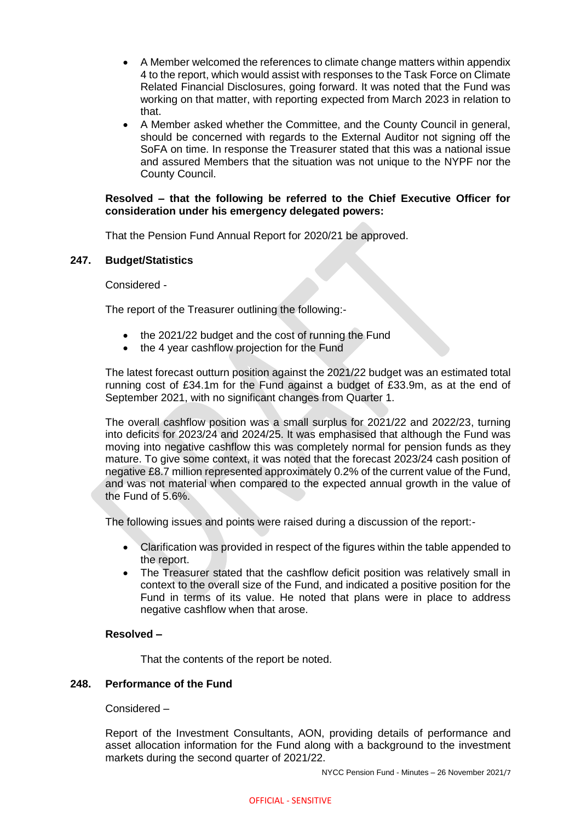- A Member welcomed the references to climate change matters within appendix 4 to the report, which would assist with responses to the Task Force on Climate Related Financial Disclosures, going forward. It was noted that the Fund was working on that matter, with reporting expected from March 2023 in relation to that.
- A Member asked whether the Committee, and the County Council in general, should be concerned with regards to the External Auditor not signing off the SoFA on time. In response the Treasurer stated that this was a national issue and assured Members that the situation was not unique to the NYPF nor the County Council.

## **Resolved – that the following be referred to the Chief Executive Officer for consideration under his emergency delegated powers:**

That the Pension Fund Annual Report for 2020/21 be approved.

## **247. Budget/Statistics**

Considered -

The report of the Treasurer outlining the following:-

- the 2021/22 budget and the cost of running the Fund
- the 4 year cashflow projection for the Fund

The latest forecast outturn position against the 2021/22 budget was an estimated total running cost of £34.1m for the Fund against a budget of £33.9m, as at the end of September 2021, with no significant changes from Quarter 1.

The overall cashflow position was a small surplus for 2021/22 and 2022/23, turning into deficits for 2023/24 and 2024/25. It was emphasised that although the Fund was moving into negative cashflow this was completely normal for pension funds as they mature. To give some context, it was noted that the forecast 2023/24 cash position of negative £8.7 million represented approximately 0.2% of the current value of the Fund, and was not material when compared to the expected annual growth in the value of the Fund of 5.6%.

The following issues and points were raised during a discussion of the report:-

- Clarification was provided in respect of the figures within the table appended to the report.
- The Treasurer stated that the cashflow deficit position was relatively small in context to the overall size of the Fund, and indicated a positive position for the Fund in terms of its value. He noted that plans were in place to address negative cashflow when that arose.

## **Resolved –**

That the contents of the report be noted.

## **248. Performance of the Fund**

## Considered –

Report of the Investment Consultants, AON, providing details of performance and asset allocation information for the Fund along with a background to the investment markets during the second quarter of 2021/22.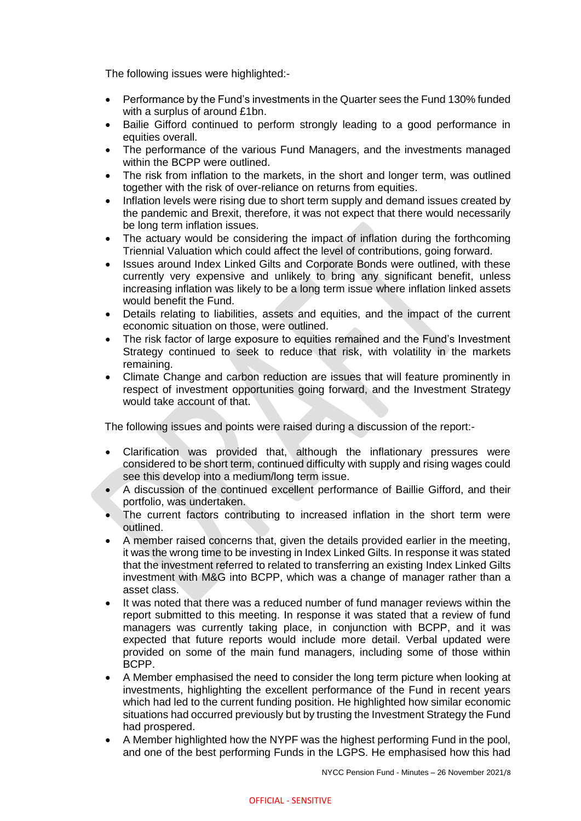The following issues were highlighted:-

- Performance by the Fund's investments in the Quarter sees the Fund 130% funded with a surplus of around £1bn.
- Bailie Gifford continued to perform strongly leading to a good performance in equities overall.
- The performance of the various Fund Managers, and the investments managed within the BCPP were outlined.
- The risk from inflation to the markets, in the short and longer term, was outlined together with the risk of over-reliance on returns from equities.
- Inflation levels were rising due to short term supply and demand issues created by the pandemic and Brexit, therefore, it was not expect that there would necessarily be long term inflation issues.
- The actuary would be considering the impact of inflation during the forthcoming Triennial Valuation which could affect the level of contributions, going forward.
- Issues around Index Linked Gilts and Corporate Bonds were outlined, with these currently very expensive and unlikely to bring any significant benefit, unless increasing inflation was likely to be a long term issue where inflation linked assets would benefit the Fund.
- Details relating to liabilities, assets and equities, and the impact of the current economic situation on those, were outlined.
- The risk factor of large exposure to equities remained and the Fund's Investment Strategy continued to seek to reduce that risk, with volatility in the markets remaining.
- Climate Change and carbon reduction are issues that will feature prominently in respect of investment opportunities going forward, and the Investment Strategy would take account of that.

The following issues and points were raised during a discussion of the report:-

- Clarification was provided that, although the inflationary pressures were considered to be short term, continued difficulty with supply and rising wages could see this develop into a medium/long term issue.
- A discussion of the continued excellent performance of Baillie Gifford, and their portfolio, was undertaken.
- The current factors contributing to increased inflation in the short term were outlined.
- A member raised concerns that, given the details provided earlier in the meeting, it was the wrong time to be investing in Index Linked Gilts. In response it was stated that the investment referred to related to transferring an existing Index Linked Gilts investment with M&G into BCPP, which was a change of manager rather than a asset class.
- It was noted that there was a reduced number of fund manager reviews within the report submitted to this meeting. In response it was stated that a review of fund managers was currently taking place, in conjunction with BCPP, and it was expected that future reports would include more detail. Verbal updated were provided on some of the main fund managers, including some of those within BCPP.
- A Member emphasised the need to consider the long term picture when looking at investments, highlighting the excellent performance of the Fund in recent years which had led to the current funding position. He highlighted how similar economic situations had occurred previously but by trusting the Investment Strategy the Fund had prospered.
- A Member highlighted how the NYPF was the highest performing Fund in the pool, and one of the best performing Funds in the LGPS. He emphasised how this had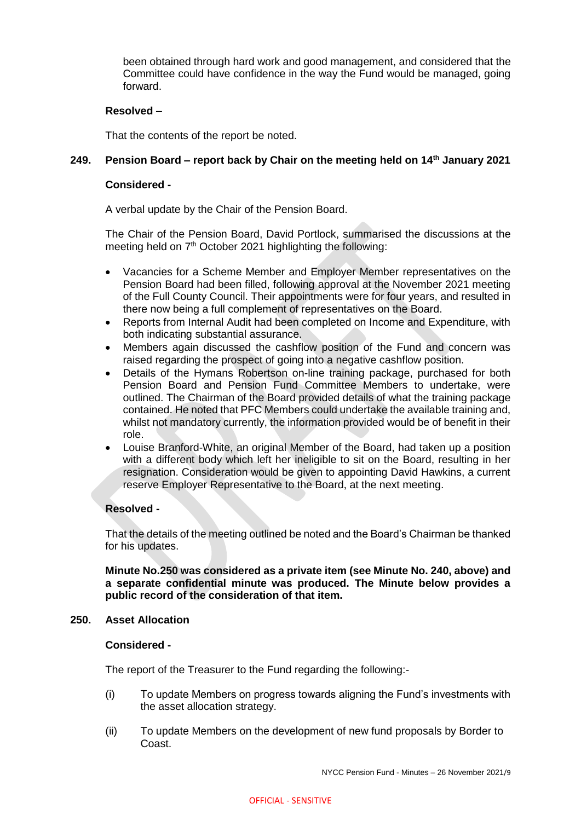been obtained through hard work and good management, and considered that the Committee could have confidence in the way the Fund would be managed, going forward.

## **Resolved –**

That the contents of the report be noted.

## **249. Pension Board – report back by Chair on the meeting held on 14th January 2021**

#### **Considered -**

A verbal update by the Chair of the Pension Board.

The Chair of the Pension Board, David Portlock, summarised the discussions at the meeting held on 7<sup>th</sup> October 2021 highlighting the following:

- Vacancies for a Scheme Member and Employer Member representatives on the Pension Board had been filled, following approval at the November 2021 meeting of the Full County Council. Their appointments were for four years, and resulted in there now being a full complement of representatives on the Board.
- Reports from Internal Audit had been completed on Income and Expenditure, with both indicating substantial assurance.
- Members again discussed the cashflow position of the Fund and concern was raised regarding the prospect of going into a negative cashflow position.
- Details of the Hymans Robertson on-line training package, purchased for both Pension Board and Pension Fund Committee Members to undertake, were outlined. The Chairman of the Board provided details of what the training package contained. He noted that PFC Members could undertake the available training and, whilst not mandatory currently, the information provided would be of benefit in their role.
- Louise Branford-White, an original Member of the Board, had taken up a position with a different body which left her ineligible to sit on the Board, resulting in her resignation. Consideration would be given to appointing David Hawkins, a current reserve Employer Representative to the Board, at the next meeting.

## **Resolved -**

That the details of the meeting outlined be noted and the Board's Chairman be thanked for his updates.

**Minute No.250 was considered as a private item (see Minute No. 240, above) and a separate confidential minute was produced. The Minute below provides a public record of the consideration of that item.**

#### **250. Asset Allocation**

#### **Considered -**

The report of the Treasurer to the Fund regarding the following:-

- (i) To update Members on progress towards aligning the Fund's investments with the asset allocation strategy.
- (ii) To update Members on the development of new fund proposals by Border to Coast.